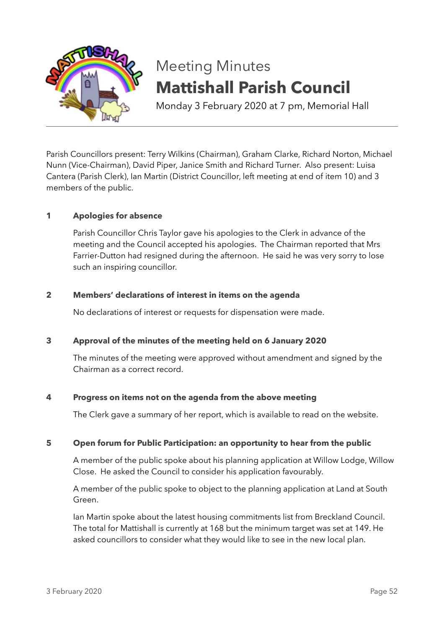

# Meeting Minutes **Mattishall Parish Council**

Monday 3 February 2020 at 7 pm, Memorial Hall

Parish Councillors present: Terry Wilkins (Chairman), Graham Clarke, Richard Norton, Michael Nunn (Vice-Chairman), David Piper, Janice Smith and Richard Turner. Also present: Luisa Cantera (Parish Clerk), Ian Martin (District Councillor, left meeting at end of item 10) and 3 members of the public.

# **1 Apologies for absence**

Parish Councillor Chris Taylor gave his apologies to the Clerk in advance of the meeting and the Council accepted his apologies. The Chairman reported that Mrs Farrier-Dutton had resigned during the afternoon. He said he was very sorry to lose such an inspiring councillor.

# **2 Members' declarations of interest in items on the agenda**

No declarations of interest or requests for dispensation were made.

# **3 Approval of the minutes of the meeting held on 6 January 2020**

The minutes of the meeting were approved without amendment and signed by the Chairman as a correct record.

# **4 Progress on items not on the agenda from the above meeting**

The Clerk gave a summary of her report, which is available to read on the website.

# **5 Open forum for Public Participation: an opportunity to hear from the public**

A member of the public spoke about his planning application at Willow Lodge, Willow Close. He asked the Council to consider his application favourably.

A member of the public spoke to object to the planning application at Land at South Green.

Ian Martin spoke about the latest housing commitments list from Breckland Council. The total for Mattishall is currently at 168 but the minimum target was set at 149. He asked councillors to consider what they would like to see in the new local plan.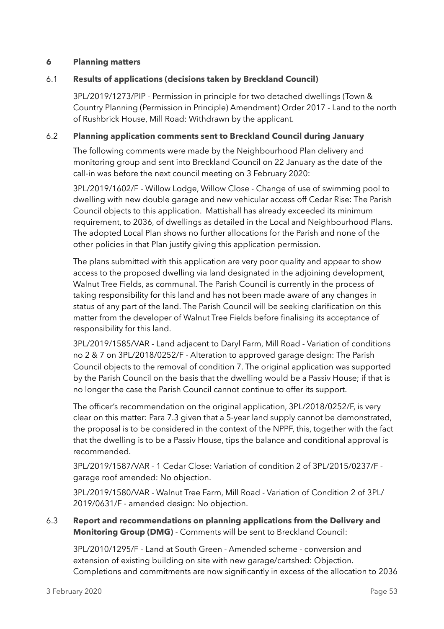#### **6 Planning matters**

#### 6.1 **Results of applications (decisions taken by Breckland Council)**

3PL/2019/1273/PIP - Permission in principle for two detached dwellings (Town & Country Planning (Permission in Principle) Amendment) Order 2017 - Land to the north of Rushbrick House, Mill Road: Withdrawn by the applicant.

#### 6.2 **Planning application comments sent to Breckland Council during January**

The following comments were made by the Neighbourhood Plan delivery and monitoring group and sent into Breckland Council on 22 January as the date of the call-in was before the next council meeting on 3 February 2020:

3PL/2019/1602/F - Willow Lodge, Willow Close - Change of use of swimming pool to dwelling with new double garage and new vehicular access off Cedar Rise: The Parish Council objects to this application. Mattishall has already exceeded its minimum requirement, to 2036, of dwellings as detailed in the Local and Neighbourhood Plans. The adopted Local Plan shows no further allocations for the Parish and none of the other policies in that Plan justify giving this application permission.

The plans submitted with this application are very poor quality and appear to show access to the proposed dwelling via land designated in the adjoining development, Walnut Tree Fields, as communal. The Parish Council is currently in the process of taking responsibility for this land and has not been made aware of any changes in status of any part of the land. The Parish Council will be seeking clarification on this matter from the developer of Walnut Tree Fields before finalising its acceptance of responsibility for this land.

3PL/2019/1585/VAR - Land adjacent to Daryl Farm, Mill Road - Variation of conditions no 2 & 7 on 3PL/2018/0252/F - Alteration to approved garage design: The Parish Council objects to the removal of condition 7. The original application was supported by the Parish Council on the basis that the dwelling would be a Passiv House; if that is no longer the case the Parish Council cannot continue to offer its support.

The officer's recommendation on the original application, 3PL/2018/0252/F, is very clear on this matter: Para 7.3 given that a 5-year land supply cannot be demonstrated, the proposal is to be considered in the context of the NPPF, this, together with the fact that the dwelling is to be a Passiv House, tips the balance and conditional approval is recommended.

3PL/2019/1587/VAR - 1 Cedar Close: Variation of condition 2 of 3PL/2015/0237/F garage roof amended: No objection.

3PL/2019/1580/VAR - Walnut Tree Farm, Mill Road - Variation of Condition 2 of 3PL/ 2019/0631/F - amended design: No objection.

# 6.3 **Report and recommendations on planning applications from the Delivery and Monitoring Group (DMG)** - Comments will be sent to Breckland Council:

3PL/2010/1295/F - Land at South Green - Amended scheme - conversion and extension of existing building on site with new garage/cartshed: Objection. Completions and commitments are now significantly in excess of the allocation to 2036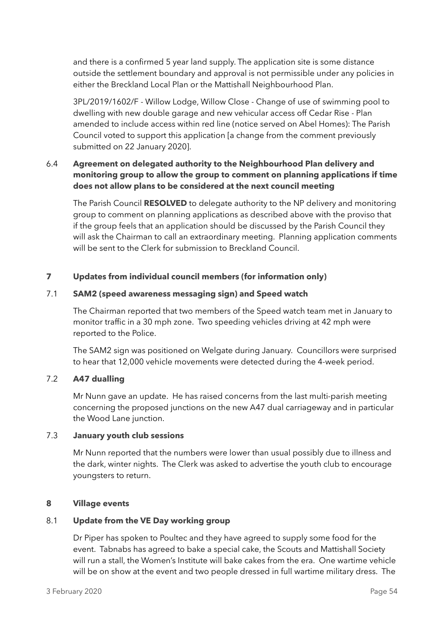and there is a confirmed 5 year land supply. The application site is some distance outside the settlement boundary and approval is not permissible under any policies in either the Breckland Local Plan or the Mattishall Neighbourhood Plan.

3PL/2019/1602/F - Willow Lodge, Willow Close - Change of use of swimming pool to dwelling with new double garage and new vehicular access off Cedar Rise - Plan amended to include access within red line (notice served on Abel Homes): The Parish Council voted to support this application [a change from the comment previously submitted on 22 January 2020].

# 6.4 **Agreement on delegated authority to the Neighbourhood Plan delivery and monitoring group to allow the group to comment on planning applications if time does not allow plans to be considered at the next council meeting**

The Parish Council **RESOLVED** to delegate authority to the NP delivery and monitoring group to comment on planning applications as described above with the proviso that if the group feels that an application should be discussed by the Parish Council they will ask the Chairman to call an extraordinary meeting. Planning application comments will be sent to the Clerk for submission to Breckland Council.

# **7 Updates from individual council members (for information only)**

# 7.1 **SAM2 (speed awareness messaging sign) and Speed watch**

The Chairman reported that two members of the Speed watch team met in January to monitor traffic in a 30 mph zone. Two speeding vehicles driving at 42 mph were reported to the Police.

The SAM2 sign was positioned on Welgate during January. Councillors were surprised to hear that 12,000 vehicle movements were detected during the 4-week period.

# 7.2 **A47 dualling**

Mr Nunn gave an update. He has raised concerns from the last multi-parish meeting concerning the proposed junctions on the new A47 dual carriageway and in particular the Wood Lane junction.

# 7.3 **January youth club sessions**

Mr Nunn reported that the numbers were lower than usual possibly due to illness and the dark, winter nights. The Clerk was asked to advertise the youth club to encourage youngsters to return.

# **8 Village events**

# 8.1 **Update from the VE Day working group**

Dr Piper has spoken to Poultec and they have agreed to supply some food for the event. Tabnabs has agreed to bake a special cake, the Scouts and Mattishall Society will run a stall, the Women's Institute will bake cakes from the era. One wartime vehicle will be on show at the event and two people dressed in full wartime military dress. The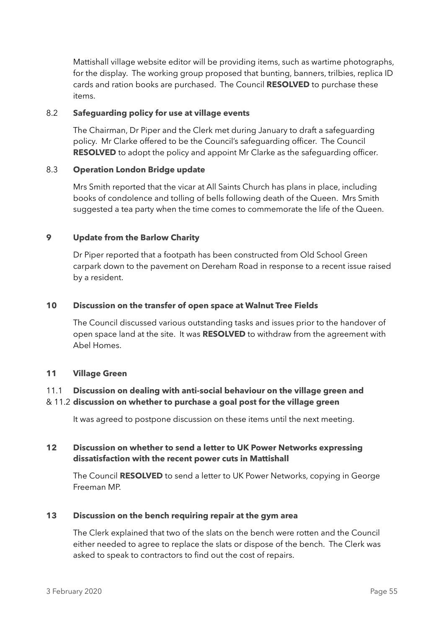Mattishall village website editor will be providing items, such as wartime photographs, for the display. The working group proposed that bunting, banners, trilbies, replica ID cards and ration books are purchased. The Council **RESOLVED** to purchase these items.

# 8.2 **Safeguarding policy for use at village events**

The Chairman, Dr Piper and the Clerk met during January to draft a safeguarding policy. Mr Clarke offered to be the Council's safeguarding officer. The Council **RESOLVED** to adopt the policy and appoint Mr Clarke as the safequarding officer.

# 8.3 **Operation London Bridge update**

Mrs Smith reported that the vicar at All Saints Church has plans in place, including books of condolence and tolling of bells following death of the Queen. Mrs Smith suggested a tea party when the time comes to commemorate the life of the Queen.

# **9 Update from the Barlow Charity**

Dr Piper reported that a footpath has been constructed from Old School Green carpark down to the pavement on Dereham Road in response to a recent issue raised by a resident.

# **10 Discussion on the transfer of open space at Walnut Tree Fields**

The Council discussed various outstanding tasks and issues prior to the handover of open space land at the site. It was **RESOLVED** to withdraw from the agreement with Abel Homes.

# **11 Village Green**

# 11.1 **Discussion on dealing with anti-social behaviour on the village green and**

# & 11.2 **discussion on whether to purchase a goal post for the village green**

It was agreed to postpone discussion on these items until the next meeting.

# **12 Discussion on whether to send a letter to UK Power Networks expressing dissatisfaction with the recent power cuts in Mattishall**

The Council **RESOLVED** to send a letter to UK Power Networks, copying in George Freeman MP.

# **13 Discussion on the bench requiring repair at the gym area**

The Clerk explained that two of the slats on the bench were rotten and the Council either needed to agree to replace the slats or dispose of the bench. The Clerk was asked to speak to contractors to find out the cost of repairs.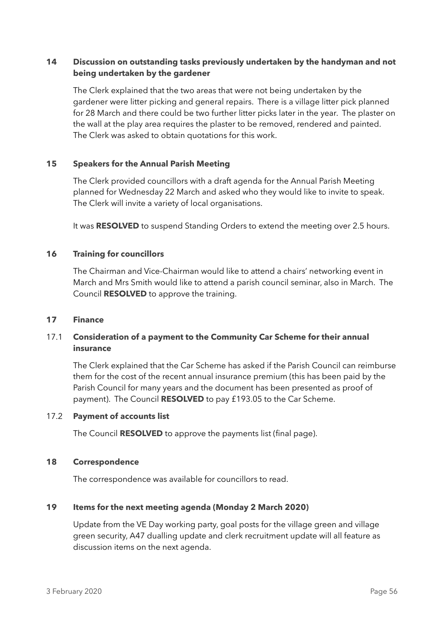# **14 Discussion on outstanding tasks previously undertaken by the handyman and not being undertaken by the gardener**

The Clerk explained that the two areas that were not being undertaken by the gardener were litter picking and general repairs. There is a village litter pick planned for 28 March and there could be two further litter picks later in the year. The plaster on the wall at the play area requires the plaster to be removed, rendered and painted. The Clerk was asked to obtain quotations for this work.

#### **15 Speakers for the Annual Parish Meeting**

The Clerk provided councillors with a draft agenda for the Annual Parish Meeting planned for Wednesday 22 March and asked who they would like to invite to speak. The Clerk will invite a variety of local organisations.

It was **RESOLVED** to suspend Standing Orders to extend the meeting over 2.5 hours.

#### **16 Training for councillors**

The Chairman and Vice-Chairman would like to attend a chairs' networking event in March and Mrs Smith would like to attend a parish council seminar, also in March. The Council **RESOLVED** to approve the training.

#### **17 Finance**

# 17.1 **Consideration of a payment to the Community Car Scheme for their annual insurance**

The Clerk explained that the Car Scheme has asked if the Parish Council can reimburse them for the cost of the recent annual insurance premium (this has been paid by the Parish Council for many years and the document has been presented as proof of payment). The Council **RESOLVED** to pay £193.05 to the Car Scheme.

#### 17.2 **Payment of accounts list**

The Council **RESOLVED** to approve the payments list (final page).

#### **18 Correspondence**

The correspondence was available for councillors to read.

#### **19 Items for the next meeting agenda (Monday 2 March 2020)**

Update from the VE Day working party, goal posts for the village green and village green security, A47 dualling update and clerk recruitment update will all feature as discussion items on the next agenda.